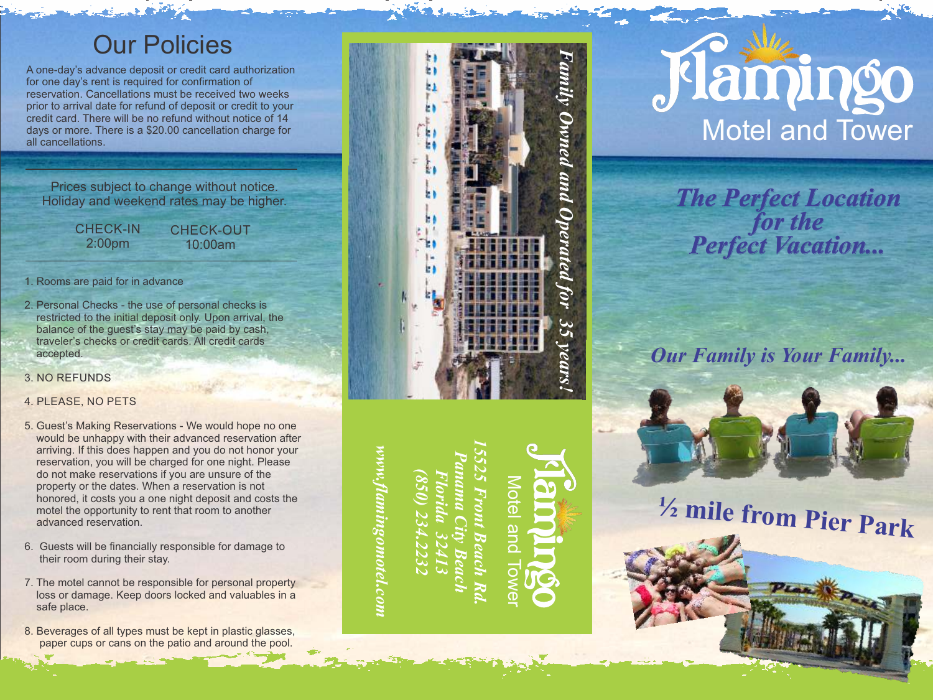# Our Policies

A one-day's advance deposit or credit card authorization for one day's rent is required for confirmation of reservation. Cancellations must be received two weeks prior to arrival date for refund of deposit or credit to your credit card. There will be no refund without notice of 14 days or more. There is a \$20.00 cancellation charge for all cancellations.

Prices subject to change without notice. Holiday and weekend rates may be higher.<br>CHECK-IN CHECK-OUT

2:00pm

CHECK-OUT 10:00am

- 1. Rooms are paid for in advance
- 2. Personal Checks the use of personal checks is restricted to the initial deposit only. Upon arrival, the balance of the guest's stay may be paid by cash, traveler 's checks or credit cards. All credit cards accepted.
- 3. N O R E F U N D S
- 4. PLEASE, NO PETS
- 5. Guest's Making Reservations We would hope no one would be unhappy with their advanced reservation after arriving. If this does happen and you do not honor your reservation, you will be charged for one night. Please do not make reservations if you are unsure of the property or the dates. When a reservation is not honored, it costs you a one night deposit and costs the motel the opportunity to rent that room to another advanced reservation.
- 6. Guests will be financially responsible for damage to their room during their stay.
- 7. The motel cannot be responsible for personal property loss or damage. Keep doors locked and valuables in a safe place.
- 8. Beverages of all types must be kept in plastic glasses, paper cups or cans on the patio and around the pool.



# *www.flamingomotel.com*

*15525 Front Beach Rd. Panama City Beach (850) 234.2232 Florida 32413* each

Motel and Tower**Tote** 



*The Perfect Location for the Perfect Vacation...*

*Our Family is Your Family...*



**½ mile from Pier Park**

**www.flamingomotel.com**